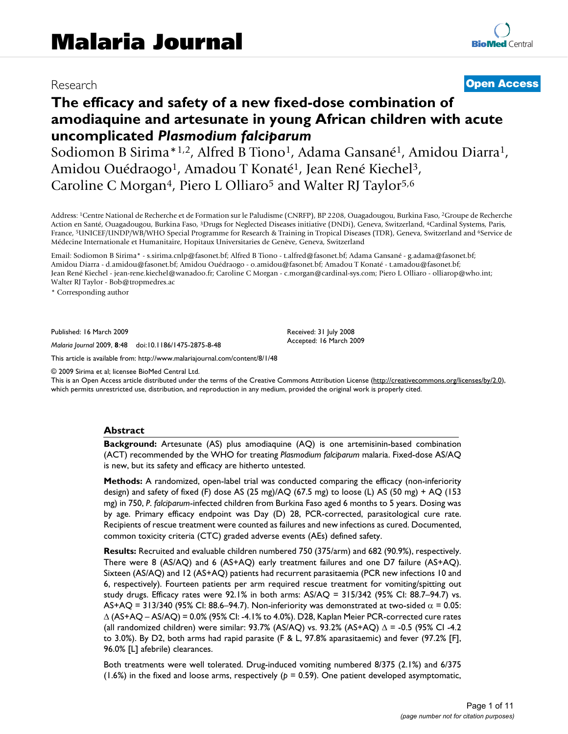# Research **[Open Access](http://www.biomedcentral.com/info/about/charter/)**

# **The efficacy and safety of a new fixed-dose combination of amodiaquine and artesunate in young African children with acute uncomplicated** *Plasmodium falciparum*

Sodiomon B Sirima\*1,2, Alfred B Tiono1, Adama Gansané1, Amidou Diarra1, Amidou Ouédraogo<sup>1</sup>, Amadou T Konaté<sup>1</sup>, Jean René Kiechel<sup>3</sup>, Caroline C Morgan<sup>4</sup>, Piero L Olliaro<sup>5</sup> and Walter RJ Taylor<sup>5,6</sup>

Address: 1Centre National de Recherche et de Formation sur le Paludisme (CNRFP), BP 2208, Ouagadougou, Burkina Faso, 2Groupe de Recherche Action en Santé, Ouagadougou, Burkina Faso, 3Drugs for Neglected Diseases initiative (DNDi), Geneva, Switzerland, 4Cardinal Systems, Paris, France, 5UNICEF/UNDP/WB/WHO Special Programme for Research & Training in Tropical Diseases (TDR), Geneva, Switzerland and 6Service de Médecine Internationale et Humanitaire, Hopitaux Universitaries de Genève, Geneva, Switzerland

Email: Sodiomon B Sirima\* - s.sirima.cnlp@fasonet.bf; Alfred B Tiono - t.alfred@fasonet.bf; Adama Gansané - g.adama@fasonet.bf; Amidou Diarra - d.amidou@fasonet.bf; Amidou Ouédraogo - o.amidou@fasonet.bf; Amadou T Konaté - t.amadou@fasonet.bf; Jean René Kiechel - jean-rene.kiechel@wanadoo.fr; Caroline C Morgan - c.morgan@cardinal-sys.com; Piero L Olliaro - olliarop@who.int; Walter RJ Taylor - Bob@tropmedres.ac

\* Corresponding author

Published: 16 March 2009

*Malaria Journal* 2009, **8**:48 doi:10.1186/1475-2875-8-48

[This article is available from: http://www.malariajournal.com/content/8/1/48](http://www.malariajournal.com/content/8/1/48)

© 2009 Sirima et al; licensee BioMed Central Ltd.

This is an Open Access article distributed under the terms of the Creative Commons Attribution License [\(http://creativecommons.org/licenses/by/2.0\)](http://creativecommons.org/licenses/by/2.0), which permits unrestricted use, distribution, and reproduction in any medium, provided the original work is properly cited.

Received: 31 July 2008 Accepted: 16 March 2009

#### **Abstract**

**Background:** Artesunate (AS) plus amodiaquine (AQ) is one artemisinin-based combination (ACT) recommended by the WHO for treating *Plasmodium falciparum* malaria. Fixed-dose AS/AQ is new, but its safety and efficacy are hitherto untested.

**Methods:** A randomized, open-label trial was conducted comparing the efficacy (non-inferiority design) and safety of fixed (F) dose AS (25 mg)/AQ (67.5 mg) to loose (L) AS (50 mg) + AQ (153 mg) in 750, *P*. *falciparum*-infected children from Burkina Faso aged 6 months to 5 years. Dosing was by age. Primary efficacy endpoint was Day (D) 28, PCR-corrected, parasitological cure rate. Recipients of rescue treatment were counted as failures and new infections as cured. Documented, common toxicity criteria (CTC) graded adverse events (AEs) defined safety.

**Results:** Recruited and evaluable children numbered 750 (375/arm) and 682 (90.9%), respectively. There were 8 (AS/AQ) and 6 (AS+AQ) early treatment failures and one D7 failure (AS+AQ). Sixteen (AS/AQ) and 12 (AS+AQ) patients had recurrent parasitaemia (PCR new infections 10 and 6, respectively). Fourteen patients per arm required rescue treatment for vomiting/spitting out study drugs. Efficacy rates were 92.1% in both arms: AS/AQ = 315/342 (95% CI: 88.7–94.7) vs. AS+AQ = 313/340 (95% CI: 88.6–94.7). Non-inferiority was demonstrated at two-sided  $\alpha$  = 0.05:  $\Delta$  (AS+AQ – AS/AQ) = 0.0% (95% CI: -4.1% to 4.0%). D28, Kaplan Meier PCR-corrected cure rates (all randomized children) were similar:  $93.7\%$  (AS/AQ) vs.  $93.2\%$  (AS+AQ)  $\Delta$  = -0.5 (95% CI -4.2) to 3.0%). By D2, both arms had rapid parasite (F & L, 97.8% aparasitaemic) and fever (97.2% [F], 96.0% [L] afebrile) clearances.

Both treatments were well tolerated. Drug-induced vomiting numbered 8/375 (2.1%) and 6/375 (1.6%) in the fixed and loose arms, respectively ( $p = 0.59$ ). One patient developed asymptomatic,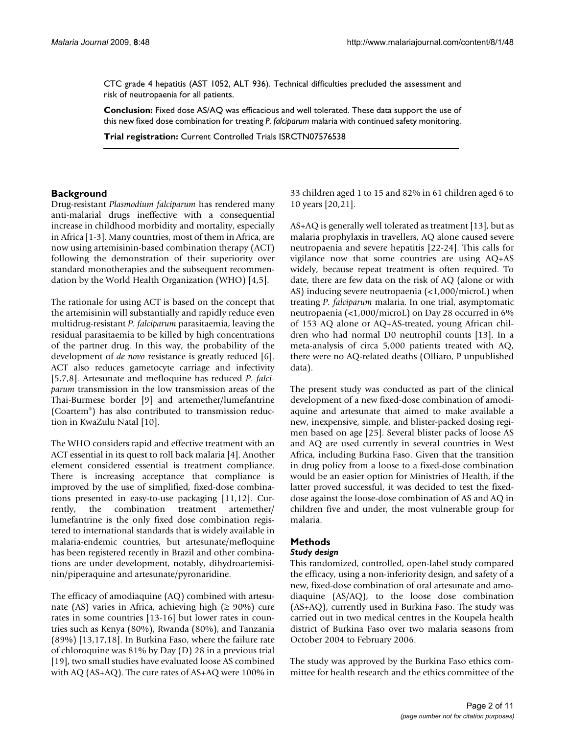CTC grade 4 hepatitis (AST 1052, ALT 936). Technical difficulties precluded the assessment and risk of neutropaenia for all patients.

**Conclusion:** Fixed dose AS/AQ was efficacious and well tolerated. These data support the use of this new fixed dose combination for treating *P. falciparum* malaria with continued safety monitoring.

**Trial registration:** Current Controlled Trials ISRCTN07576538

# **Background**

Drug-resistant *Plasmodium falciparum* has rendered many anti-malarial drugs ineffective with a consequential increase in childhood morbidity and mortality, especially in Africa [1-3]. Many countries, most of them in Africa, are now using artemisinin-based combination therapy (ACT) following the demonstration of their superiority over standard monotherapies and the subsequent recommendation by the World Health Organization (WHO) [4,5].

The rationale for using ACT is based on the concept that the artemisinin will substantially and rapidly reduce even multidrug-resistant *P. falciparum* parasitaemia, leaving the residual parasitaemia to be killed by high concentrations of the partner drug. In this way, the probability of the development of *de novo* resistance is greatly reduced [6]. ACT also reduces gametocyte carriage and infectivity [5,7,8]. Artesunate and mefloquine has reduced *P*. *falciparum* transmission in the low transmission areas of the Thai-Burmese border [9] and artemether/lumefantrine (Coartem®) has also contributed to transmission reduction in KwaZulu Natal [10].

The WHO considers rapid and effective treatment with an ACT essential in its quest to roll back malaria [4]. Another element considered essential is treatment compliance. There is increasing acceptance that compliance is improved by the use of simplified, fixed-dose combinations presented in easy-to-use packaging [11,12]. Currently, the combination treatment artemether/ lumefantrine is the only fixed dose combination registered to international standards that is widely available in malaria-endemic countries, but artesunate/mefloquine has been registered recently in Brazil and other combinations are under development, notably, dihydroartemisinin/piperaquine and artesunate/pyronaridine.

The efficacy of amodiaquine (AQ) combined with artesunate (AS) varies in Africa, achieving high ( $\geq$  90%) cure rates in some countries [13-16] but lower rates in countries such as Kenya (80%), Rwanda (80%), and Tanzania (89%) [13,17,18]. In Burkina Faso, where the failure rate of chloroquine was 81% by Day (D) 28 in a previous trial [19], two small studies have evaluated loose AS combined with AQ (AS+AQ). The cure rates of AS+AQ were 100% in

33 children aged 1 to 15 and 82% in 61 children aged 6 to 10 years [20,21].

AS+AQ is generally well tolerated as treatment [13], but as malaria prophylaxis in travellers, AQ alone caused severe neutropaenia and severe hepatitis [22-24]. This calls for vigilance now that some countries are using AQ+AS widely, because repeat treatment is often required. To date, there are few data on the risk of AQ (alone or with AS) inducing severe neutropaenia (<1,000/microL) when treating *P. falciparum* malaria. In one trial, asymptomatic neutropaenia (<1,000/microL) on Day 28 occurred in 6% of 153 AQ alone or AQ+AS-treated, young African children who had normal D0 neutrophil counts [13]. In a meta-analysis of circa 5,000 patients treated with AQ, there were no AQ-related deaths (Olliaro, P unpublished data).

The present study was conducted as part of the clinical development of a new fixed-dose combination of amodiaquine and artesunate that aimed to make available a new, inexpensive, simple, and blister-packed dosing regimen based on age [25]. Several blister packs of loose AS and AQ are used currently in several countries in West Africa, including Burkina Faso. Given that the transition in drug policy from a loose to a fixed-dose combination would be an easier option for Ministries of Health, if the latter proved successful, it was decided to test the fixeddose against the loose-dose combination of AS and AQ in children five and under, the most vulnerable group for malaria.

# **Methods**

# *Study design*

This randomized, controlled, open-label study compared the efficacy, using a non-inferiority design, and safety of a new, fixed-dose combination of oral artesunate and amodiaquine (AS/AQ), to the loose dose combination (AS+AQ), currently used in Burkina Faso. The study was carried out in two medical centres in the Koupela health district of Burkina Faso over two malaria seasons from October 2004 to February 2006.

The study was approved by the Burkina Faso ethics committee for health research and the ethics committee of the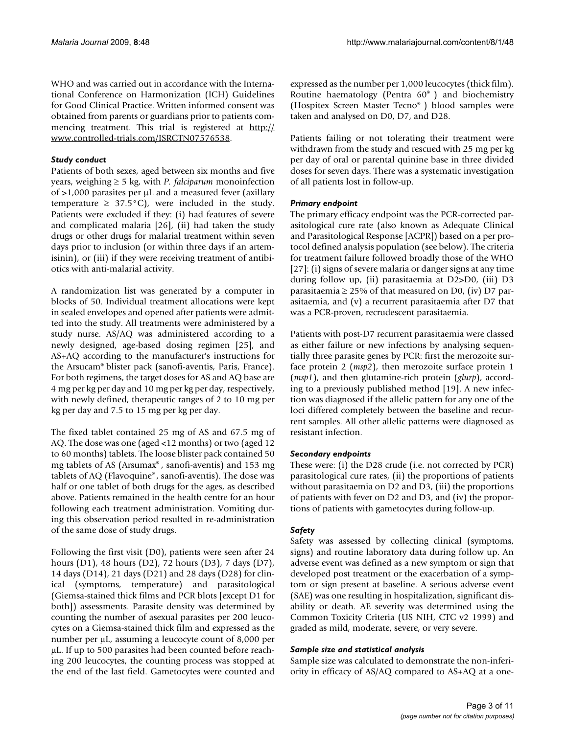WHO and was carried out in accordance with the International Conference on Harmonization (ICH) Guidelines for Good Clinical Practice. Written informed consent was obtained from parents or guardians prior to patients commencing treatment. This trial is registered at [http://](http://www.controlled-trials.com/ISRCTN07576538) [www.controlled-trials.com/ISRCTN07576538.](http://www.controlled-trials.com/ISRCTN07576538)

# *Study conduct*

Patients of both sexes, aged between six months and five years, weighing ≥ 5 kg, with *P. falciparum* monoinfection of >1,000 parasites per μL and a measured fever (axillary temperature  $\geq 37.5^{\circ}$ C), were included in the study. Patients were excluded if they: (i) had features of severe and complicated malaria [26], (ii) had taken the study drugs or other drugs for malarial treatment within seven days prior to inclusion (or within three days if an artemisinin), or (iii) if they were receiving treatment of antibiotics with anti-malarial activity.

A randomization list was generated by a computer in blocks of 50. Individual treatment allocations were kept in sealed envelopes and opened after patients were admitted into the study. All treatments were administered by a study nurse. AS/AQ was administered according to a newly designed, age-based dosing regimen [25], and AS+AQ according to the manufacturer's instructions for the Arsucam® blister pack (sanofi-aventis, Paris, France). For both regimens, the target doses for AS and AQ base are 4 mg per kg per day and 10 mg per kg per day, respectively, with newly defined, therapeutic ranges of 2 to 10 mg per kg per day and 7.5 to 15 mg per kg per day.

The fixed tablet contained 25 mg of AS and 67.5 mg of AQ. The dose was one (aged <12 months) or two (aged 12 to 60 months) tablets. The loose blister pack contained 50 mg tablets of AS (Arsumax® , sanofi-aventis) and 153 mg tablets of AQ (Flavoquine® , sanofi-aventis). The dose was half or one tablet of both drugs for the ages, as described above. Patients remained in the health centre for an hour following each treatment administration. Vomiting during this observation period resulted in re-administration of the same dose of study drugs.

Following the first visit (D0), patients were seen after 24 hours (D1), 48 hours (D2), 72 hours (D3), 7 days (D7), 14 days (D14), 21 days (D21) and 28 days (D28) for clinical (symptoms, temperature) and parasitological (Giemsa-stained thick films and PCR blots [except D1 for both]) assessments. Parasite density was determined by counting the number of asexual parasites per 200 leucocytes on a Giemsa-stained thick film and expressed as the number per μL, assuming a leucocyte count of 8,000 per μL. If up to 500 parasites had been counted before reaching 200 leucocytes, the counting process was stopped at the end of the last field. Gametocytes were counted and expressed as the number per 1,000 leucocytes (thick film). Routine haematology (Pentra 60® ) and biochemistry (Hospitex Screen Master Tecno® ) blood samples were taken and analysed on D0, D7, and D28.

Patients failing or not tolerating their treatment were withdrawn from the study and rescued with 25 mg per kg per day of oral or parental quinine base in three divided doses for seven days. There was a systematic investigation of all patients lost in follow-up.

### *Primary endpoint*

The primary efficacy endpoint was the PCR-corrected parasitological cure rate (also known as Adequate Clinical and Parasitological Response [ACPR]) based on a per protocol defined analysis population (see below). The criteria for treatment failure followed broadly those of the WHO [27]: (i) signs of severe malaria or danger signs at any time during follow up, (ii) parasitaemia at D2>D0, (iii) D3 parasitaemia  $\geq$  25% of that measured on D0, (iv) D7 parasitaemia, and (v) a recurrent parasitaemia after D7 that was a PCR-proven, recrudescent parasitaemia.

Patients with post-D7 recurrent parasitaemia were classed as either failure or new infections by analysing sequentially three parasite genes by PCR: first the merozoite surface protein 2 (*msp2*), then merozoite surface protein 1 (*msp1*), and then glutamine-rich protein (*glurp*), according to a previously published method [19]. A new infection was diagnosed if the allelic pattern for any one of the loci differed completely between the baseline and recurrent samples. All other allelic patterns were diagnosed as resistant infection.

#### *Secondary endpoints*

These were: (i) the D28 crude (i.e. not corrected by PCR) parasitological cure rates, (ii) the proportions of patients without parasitaemia on D2 and D3, (iii) the proportions of patients with fever on D2 and D3, and (iv) the proportions of patients with gametocytes during follow-up.

# *Safety*

Safety was assessed by collecting clinical (symptoms, signs) and routine laboratory data during follow up. An adverse event was defined as a new symptom or sign that developed post treatment or the exacerbation of a symptom or sign present at baseline. A serious adverse event (SAE) was one resulting in hospitalization, significant disability or death. AE severity was determined using the Common Toxicity Criteria (US NIH, CTC v2 1999) and graded as mild, moderate, severe, or very severe.

#### *Sample size and statistical analysis*

Sample size was calculated to demonstrate the non-inferiority in efficacy of AS/AQ compared to AS+AQ at a one-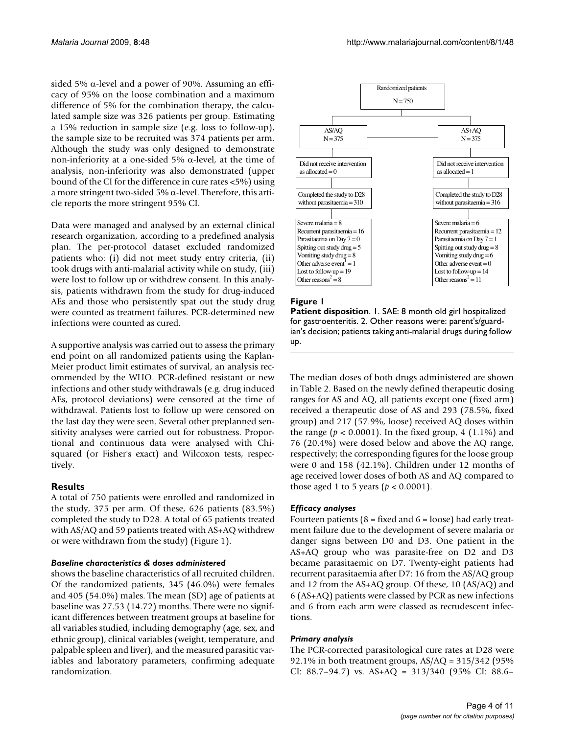sided 5%  $\alpha$ -level and a power of 90%. Assuming an efficacy of 95% on the loose combination and a maximum difference of 5% for the combination therapy, the calculated sample size was 326 patients per group. Estimating a 15% reduction in sample size (e.g. loss to follow-up), the sample size to be recruited was 374 patients per arm. Although the study was only designed to demonstrate non-inferiority at a one-sided 5% α-level, at the time of analysis, non-inferiority was also demonstrated (upper bound of the CI for the difference in cure rates <5%) using a more stringent two-sided 5%  $\alpha$ -level. Therefore, this article reports the more stringent 95% CI.

Data were managed and analysed by an external clinical research organization, according to a predefined analysis plan. The per-protocol dataset excluded randomized patients who: (i) did not meet study entry criteria, (ii) took drugs with anti-malarial activity while on study, (iii) were lost to follow up or withdrew consent. In this analysis, patients withdrawn from the study for drug-induced AEs and those who persistently spat out the study drug were counted as treatment failures. PCR-determined new infections were counted as cured.

A supportive analysis was carried out to assess the primary end point on all randomized patients using the Kaplan-Meier product limit estimates of survival, an analysis recommended by the WHO. PCR-defined resistant or new infections and other study withdrawals (e.g. drug induced AEs, protocol deviations) were censored at the time of withdrawal. Patients lost to follow up were censored on the last day they were seen. Several other preplanned sensitivity analyses were carried out for robustness. Proportional and continuous data were analysed with Chisquared (or Fisher's exact) and Wilcoxon tests, respectively.

# **Results**

A total of 750 patients were enrolled and randomized in the study, 375 per arm. Of these, 626 patients (83.5%) completed the study to D28. A total of 65 patients treated with AS/AQ and 59 patients treated with AS+AQ withdrew or were withdrawn from the study) (Figure 1).

#### *Baseline characteristics & doses administered*

shows the baseline characteristics of all recruited children. Of the randomized patients, 345 (46.0%) were females and 405 (54.0%) males. The mean (SD) age of patients at baseline was 27.53 (14.72) months. There were no significant differences between treatment groups at baseline for all variables studied, including demography (age, sex, and ethnic group), clinical variables (weight, temperature, and palpable spleen and liver), and the measured parasitic variables and laboratory parameters, confirming adequate randomization.



#### **Figure 1**

**Patient disposition.** 1. SAE: 8 month old girl hospitalized for gastroenteritis. 2. Other reasons were: parent's/guardian's decision; patients taking anti-malarial drugs during follow up.

The median doses of both drugs administered are shown in Table 2. Based on the newly defined therapeutic dosing ranges for AS and AQ, all patients except one (fixed arm) received a therapeutic dose of AS and 293 (78.5%, fixed group) and 217 (57.9%, loose) received AQ doses within the range ( $p < 0.0001$ ). In the fixed group, 4 (1.1%) and 76 (20.4%) were dosed below and above the AQ range, respectively; the corresponding figures for the loose group were 0 and 158 (42.1%). Children under 12 months of age received lower doses of both AS and AQ compared to those aged 1 to 5 years ( $p < 0.0001$ ).

#### *Efficacy analyses*

Fourteen patients ( $8 = fixed$  and  $6 = loose$ ) had early treatment failure due to the development of severe malaria or danger signs between D0 and D3. One patient in the AS+AQ group who was parasite-free on D2 and D3 became parasitaemic on D7. Twenty-eight patients had recurrent parasitaemia after D7: 16 from the AS/AQ group and 12 from the AS+AQ group. Of these, 10 (AS/AQ) and 6 (AS+AQ) patients were classed by PCR as new infections and 6 from each arm were classed as recrudescent infections.

#### *Primary analysis*

The PCR-corrected parasitological cure rates at D28 were 92.1% in both treatment groups, AS/AQ = 315/342 (95% CI: 88.7–94.7) vs. AS+AQ = 313/340 (95% CI: 88.6–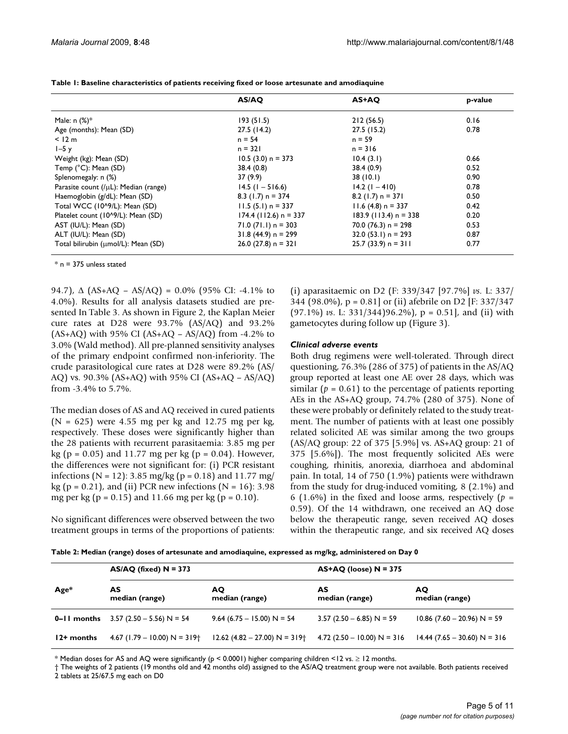|                                            | AS/AQ                   | AS+AQ                   | p-value |
|--------------------------------------------|-------------------------|-------------------------|---------|
| Male: n $(\%)^*$                           | 193(51.5)               | 212 (56.5)              | 0.16    |
| Age (months): Mean (SD)                    | 27.5 (14.2)             | 27.5(15.2)              | 0.78    |
| $<$ 12 m                                   | $n = 54$                | $n = 59$                |         |
| $I-5y$                                     | $n = 321$               | $n = 316$               |         |
| Weight (kg): Mean (SD)                     | $10.5$ (3.0) n = 373    | 10.4(3.1)               | 0.66    |
| Temp (°C): Mean (SD)                       | 38.4(0.8)               | 38.4(0.9)               | 0.52    |
| Splenomegaly: n (%)                        | 37 (9.9)                | 38(10.1)                | 0.90    |
| Parasite count $(1\mu L)$ : Median (range) | $14.5$ (1 – 516.6)      | $14.2$ ( $1 - 410$ )    | 0.78    |
| Haemoglobin (g/dL): Mean (SD)              | $8.3$ (1.7) n = 374     | $8.2$ (1.7) n = 371     | 0.50    |
| Total WCC (10^9/L): Mean (SD)              | $11.5(5.1) n = 337$     | $11.6$ (4.8) n = 337    | 0.42    |
| Platelet count (10^9/L): Mean (SD)         | $174.4$ (112.6) n = 337 | $183.9$ (113.4) n = 338 | 0.20    |
| AST (IU/L): Mean (SD)                      | $71.0$ (71.1) n = 303   | 70.0 $(76.3)$ n = 298   | 0.53    |
| ALT (IU/L): Mean (SD)                      | $31.8$ (44.9) n = 299   | $32.0$ (53.1) n = 293   | 0.87    |
| Total bilirubin (umol/L): Mean (SD)        | $26.0$ (27.8) n = 321   | $25.7(33.9)$ n = 311    | 0.77    |

**Table 1: Baseline characteristics of patients receiving fixed or loose artesunate and amodiaquine**

 $*$  n = 375 unless stated

94.7),  $\Delta$  (AS+AQ – AS/AQ) = 0.0% (95% CI: -4.1% to 4.0%). Results for all analysis datasets studied are presented In Table 3. As shown in Figure 2, the Kaplan Meier cure rates at D28 were 93.7% (AS/AQ) and 93.2%  $(AS+AQ)$  with 95% CI  $(AS+AQ - AS/AQ)$  from -4.2% to 3.0% (Wald method). All pre-planned sensitivity analyses of the primary endpoint confirmed non-inferiority. The crude parasitological cure rates at D28 were 89.2% (AS/ AQ) vs. 90.3% (AS+AQ) with 95% CI (AS+AQ – AS/AQ) from -3.4% to 5.7%.

The median doses of AS and AQ received in cured patients ( $N = 625$ ) were 4.55 mg per kg and 12.75 mg per kg, respectively. These doses were significantly higher than the 28 patients with recurrent parasitaemia: 3.85 mg per kg (p =  $0.05$ ) and 11.77 mg per kg (p =  $0.04$ ). However, the differences were not significant for: (i) PCR resistant infections (N = 12): 3.85 mg/kg (p = 0.18) and 11.77 mg/  $kg (p = 0.21)$ , and (ii) PCR new infections (N = 16): 3.98 mg per kg ( $p = 0.15$ ) and 11.66 mg per kg ( $p = 0.10$ ).

No significant differences were observed between the two treatment groups in terms of the proportions of patients: (i) aparasitaemic on D2 (F: 339/347 [97.7%] *vs.* L: 337/ 344 (98.0%), p = 0.81] or (ii) afebrile on D2 [F: 337/347 (97.1%) *vs*. L: 331/344)96.2%), p = 0.51], and (ii) with gametocytes during follow up (Figure 3).

# *Clinical adverse events*

Both drug regimens were well-tolerated. Through direct questioning, 76.3% (286 of 375) of patients in the AS/AQ group reported at least one AE over 28 days, which was similar ( $p = 0.61$ ) to the percentage of patients reporting AEs in the AS+AQ group, 74.7% (280 of 375). None of these were probably or definitely related to the study treatment. The number of patients with at least one possibly related solicited AE was similar among the two groups (AS/AQ group: 22 of 375 [5.9%] vs. AS+AQ group: 21 of 375 [5.6%]). The most frequently solicited AEs were coughing, rhinitis, anorexia, diarrhoea and abdominal pain. In total, 14 of 750 (1.9%) patients were withdrawn from the study for drug-induced vomiting, 8 (2.1%) and 6 (1.6%) in the fixed and loose arms, respectively (*p* = 0.59). Of the 14 withdrawn, one received an AQ dose below the therapeutic range, seven received AQ doses within the therapeutic range, and six received AQ doses

**Table 2: Median (range) doses of artesunate and amodiaquine, expressed as mg/kg, administered on Day 0**

|             | $AS/AQ$ (fixed) $N = 373$                  |                                             | $AS+AQ$ (loose) $N = 375$     |                                |
|-------------|--------------------------------------------|---------------------------------------------|-------------------------------|--------------------------------|
| Age*        | AS<br>median (range)                       | AQ<br>median (range)                        | AS<br>median (range)          | AQ.<br>median (range)          |
| 0-11 months | $3.57(2.50 - 5.56) N = 54$                 | $9.64$ (6.75 - 15.00) N = 54                | $3.57(2.50 - 6.85) N = 59$    | $10.86$ (7.60 - 20.96) N = 59  |
| 12+ months  | $4.67$ (1.79 – 10.00) N = 319 <sup>+</sup> | $12.62$ (4.82 – 27.00) N = 319 <sup>+</sup> | $4.72$ (2.50 - 10.00) N = 316 | $14.44$ (7.65 – 30.60) N = 316 |

\* Median doses for AS and AQ were significantly (p < 0.0001) higher comparing children <12 vs. ≥ 12 months.

† The weights of 2 patients (19 months old and 42 months old) assigned to the AS/AQ treatment group were not available. Both patients received 2 tablets at 25/67.5 mg each on D0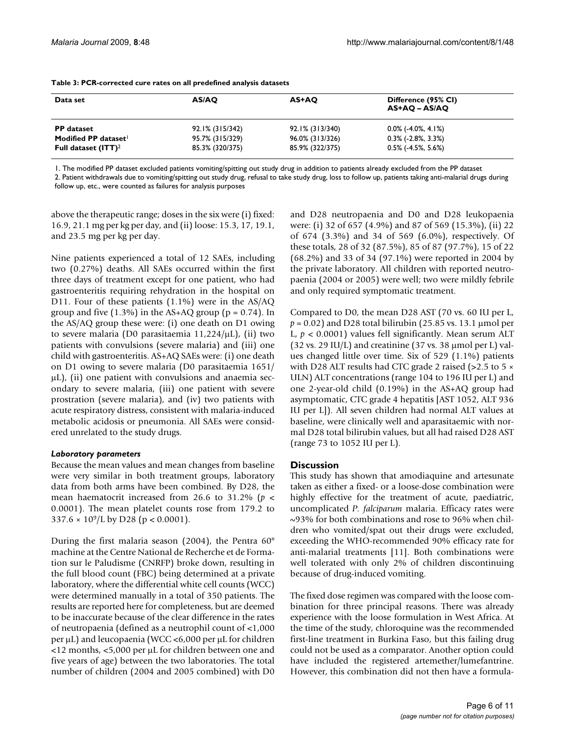| Data set               | <b>AS/AQ</b>    | AS+AQ           | Difference (95% CI)<br>AS+AO - AS/AO |
|------------------------|-----------------|-----------------|--------------------------------------|
| <b>PP</b> dataset      | 92.1% (315/342) | 92.1% (313/340) | $0.0\%$ (-4.0%, 4.1%)                |
| Modified PP dataset    | 95.7% (315/329) | 96.0% (313/326) | $0.3\%$ (-2.8%, 3.3%)                |
| Full dataset $(ITT)^2$ | 85.3% (320/375) | 85.9% (322/375) | $0.5\%$ (-4.5%, 5.6%)                |

|  |  |  |  | Table 3: PCR-corrected cure rates on all predefined analysis datasets |  |
|--|--|--|--|-----------------------------------------------------------------------|--|
|--|--|--|--|-----------------------------------------------------------------------|--|

1. The modified PP dataset excluded patients vomiting/spitting out study drug in addition to patients already excluded from the PP dataset

2. Patient withdrawals due to vomiting/spitting out study drug, refusal to take study drug, loss to follow up, patients taking anti-malarial drugs during follow up, etc., were counted as failures for analysis purposes

above the therapeutic range; doses in the six were (i) fixed: 16.9, 21.1 mg per kg per day, and (ii) loose: 15.3, 17, 19.1, and 23.5 mg per kg per day.

Nine patients experienced a total of 12 SAEs, including two (0.27%) deaths. All SAEs occurred within the first three days of treatment except for one patient, who had gastroenteritis requiring rehydration in the hospital on D11. Four of these patients (1.1%) were in the AS/AQ group and five  $(1.3\%)$  in the AS+AQ group  $(p = 0.74)$ . In the AS/AQ group these were: (i) one death on D1 owing to severe malaria (D0 parasitaemia 11,224/μL), (ii) two patients with convulsions (severe malaria) and (iii) one child with gastroenteritis. AS+AQ SAEs were: (i) one death on D1 owing to severe malaria (D0 parasitaemia 1651/ μL), (ii) one patient with convulsions and anaemia secondary to severe malaria, (iii) one patient with severe prostration (severe malaria), and (iv) two patients with acute respiratory distress, consistent with malaria-induced metabolic acidosis or pneumonia. All SAEs were considered unrelated to the study drugs.

#### *Laboratory parameters*

Because the mean values and mean changes from baseline were very similar in both treatment groups, laboratory data from both arms have been combined. By D28, the mean haematocrit increased from 26.6 to 31.2% (*p* < 0.0001). The mean platelet counts rose from 179.2 to  $337.6 \times 10^9$ /L by D28 (p < 0.0001).

During the first malaria season (2004), the Pentra 60® machine at the Centre National de Recherche et de Formation sur le Paludisme (CNRFP) broke down, resulting in the full blood count (FBC) being determined at a private laboratory, where the differential white cell counts (WCC) were determined manually in a total of 350 patients. The results are reported here for completeness, but are deemed to be inaccurate because of the clear difference in the rates of neutropaenia (defined as a neutrophil count of <1,000 per μL) and leucopaenia (WCC <6,000 per μL for children <12 months, <5,000 per μL for children between one and five years of age) between the two laboratories. The total number of children (2004 and 2005 combined) with D0

and D28 neutropaenia and D0 and D28 leukopaenia were: (i) 32 of 657 (4.9%) and 87 of 569 (15.3%), (ii) 22 of 674 (3.3%) and 34 of 569 (6.0%), respectively. Of these totals, 28 of 32 (87.5%), 85 of 87 (97.7%), 15 of 22 (68.2%) and 33 of 34 (97.1%) were reported in 2004 by the private laboratory. All children with reported neutropaenia (2004 or 2005) were well; two were mildly febrile and only required symptomatic treatment.

Compared to D0, the mean D28 AST (70 vs. 60 IU per L, *p* = 0.02) and D28 total bilirubin (25.85 vs. 13.1 μmol per L,  $p < 0.0001$ ) values fell significantly. Mean serum ALT (32 vs. 29 IU/L) and creatinine (37 vs. 38 μmol per L) values changed little over time. Six of 529 (1.1%) patients with D28 ALT results had CTC grade 2 raised ( $>2.5$  to 5  $\times$ ULN) ALT concentrations (range 104 to 196 IU per L) and one 2-year-old child (0.19%) in the AS+AQ group had asymptomatic, CTC grade 4 hepatitis [AST 1052, ALT 936 IU per L]). All seven children had normal ALT values at baseline, were clinically well and aparasitaemic with normal D28 total bilirubin values, but all had raised D28 AST (range 73 to 1052 IU per L).

# **Discussion**

This study has shown that amodiaquine and artesunate taken as either a fixed- or a loose-dose combination were highly effective for the treatment of acute, paediatric, uncomplicated *P. falciparum* malaria. Efficacy rates were ~93% for both combinations and rose to 96% when children who vomited/spat out their drugs were excluded, exceeding the WHO-recommended 90% efficacy rate for anti-malarial treatments [11]. Both combinations were well tolerated with only 2% of children discontinuing because of drug-induced vomiting.

The fixed dose regimen was compared with the loose combination for three principal reasons. There was already experience with the loose formulation in West Africa. At the time of the study, chloroquine was the recommended first-line treatment in Burkina Faso, but this failing drug could not be used as a comparator. Another option could have included the registered artemether/lumefantrine. However, this combination did not then have a formula-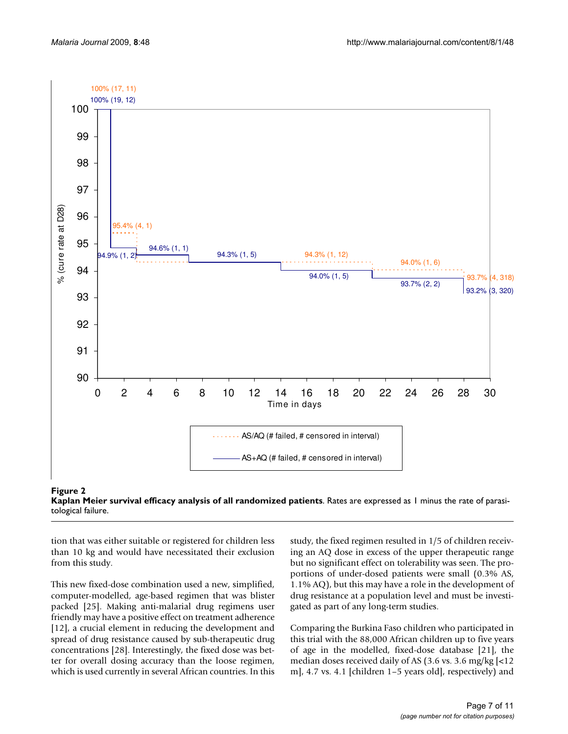



tion that was either suitable or registered for children less than 10 kg and would have necessitated their exclusion from this study.

This new fixed-dose combination used a new, simplified, computer-modelled, age-based regimen that was blister packed [25]. Making anti-malarial drug regimens user friendly may have a positive effect on treatment adherence [12], a crucial element in reducing the development and spread of drug resistance caused by sub-therapeutic drug concentrations [28]. Interestingly, the fixed dose was better for overall dosing accuracy than the loose regimen, which is used currently in several African countries. In this study, the fixed regimen resulted in 1/5 of children receiving an AQ dose in excess of the upper therapeutic range but no significant effect on tolerability was seen. The proportions of under-dosed patients were small (0.3% AS, 1.1% AQ), but this may have a role in the development of drug resistance at a population level and must be investigated as part of any long-term studies.

Comparing the Burkina Faso children who participated in this trial with the 88,000 African children up to five years of age in the modelled, fixed-dose database [21], the median doses received daily of AS (3.6 vs. 3.6 mg/kg [<12 m], 4.7 vs. 4.1 [children 1–5 years old], respectively) and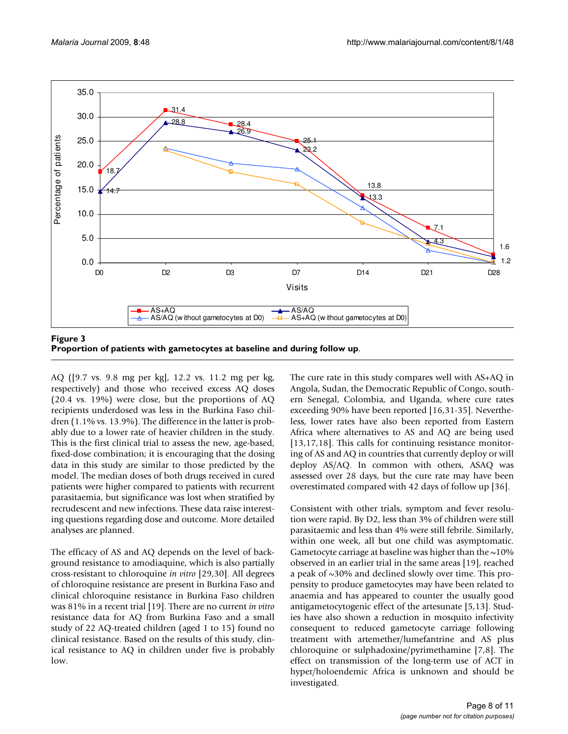

**Figure 3 Proportion of patients with gametocytes at baseline and during follow up**.

AQ ([9.7 vs. 9.8 mg per kg], 12.2 vs. 11.2 mg per kg, respectively) and those who received excess AQ doses (20.4 vs. 19%) were close, but the proportions of AQ recipients underdosed was less in the Burkina Faso children (1.1% vs. 13.9%). The difference in the latter is probably due to a lower rate of heavier children in the study. This is the first clinical trial to assess the new, age-based, fixed-dose combination; it is encouraging that the dosing data in this study are similar to those predicted by the model. The median doses of both drugs received in cured patients were higher compared to patients with recurrent parasitaemia, but significance was lost when stratified by recrudescent and new infections. These data raise interesting questions regarding dose and outcome. More detailed analyses are planned.

The efficacy of AS and AQ depends on the level of background resistance to amodiaquine, which is also partially cross-resistant to chloroquine *in vitro* [29,[30\]](#page-9-0). All degrees of chloroquine resistance are present in Burkina Faso and clinical chloroquine resistance in Burkina Faso children was 81% in a recent trial [19]. There are no current *in vitro* resistance data for AQ from Burkina Faso and a small study of 22 AQ-treated children (aged 1 to 15) found no clinical resistance. Based on the results of this study, clinical resistance to AQ in children under five is probably low.

The cure rate in this study compares well with AS+AQ in Angola, Sudan, the Democratic Republic of Congo, southern Senegal, Colombia, and Uganda, where cure rates exceeding 90% have been reported [16,31-35]. Nevertheless, lower rates have also been reported from Eastern Africa where alternatives to AS and AQ are being used [13,17,18]. This calls for continuing resistance monitoring of AS and AQ in countries that currently deploy or will deploy AS/AQ. In common with others, ASAQ was assessed over 28 days, but the cure rate may have been overestimated compared with 42 days of follow up [36].

Consistent with other trials, symptom and fever resolution were rapid. By D2, less than 3% of children were still parasitaemic and less than 4% were still febrile. Similarly, within one week, all but one child was asymptomatic. Gametocyte carriage at baseline was higher than the  $\sim$ 10% observed in an earlier trial in the same areas [19], reached a peak of ~30% and declined slowly over time. This propensity to produce gametocytes may have been related to anaemia and has appeared to counter the usually good antigametocytogenic effect of the artesunate [5,13]. Studies have also shown a reduction in mosquito infectivity consequent to reduced gametocyte carriage following treatment with artemether/lumefantrine and AS plus chloroquine or sulphadoxine/pyrimethamine [7,8]. The effect on transmission of the long-term use of ACT in hyper/holoendemic Africa is unknown and should be investigated.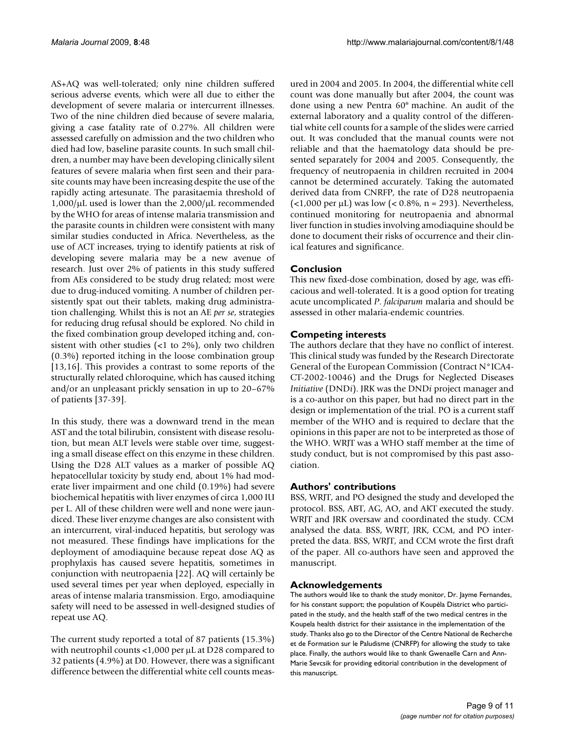AS+AQ was well-tolerated; only nine children suffered serious adverse events, which were all due to either the development of severe malaria or intercurrent illnesses. Two of the nine children died because of severe malaria, giving a case fatality rate of 0.27%. All children were assessed carefully on admission and the two children who died had low, baseline parasite counts. In such small children, a number may have been developing clinically silent features of severe malaria when first seen and their parasite counts may have been increasing despite the use of the rapidly acting artesunate. The parasitaemia threshold of 1,000/μL used is lower than the 2,000/μL recommended by the WHO for areas of intense malaria transmission and the parasite counts in children were consistent with many similar studies conducted in Africa. Nevertheless, as the use of ACT increases, trying to identify patients at risk of developing severe malaria may be a new avenue of research. Just over 2% of patients in this study suffered from AEs considered to be study drug related; most were due to drug-induced vomiting. A number of children persistently spat out their tablets, making drug administration challenging. Whilst this is not an AE *per se*, strategies for reducing drug refusal should be explored. No child in the fixed combination group developed itching and, consistent with other studies (<1 to 2%), only two children (0.3%) reported itching in the loose combination group [13,16]. This provides a contrast to some reports of the structurally related chloroquine, which has caused itching and/or an unpleasant prickly sensation in up to 20–67% of patients [37-39].

In this study, there was a downward trend in the mean AST and the total bilirubin, consistent with disease resolution, but mean ALT levels were stable over time, suggesting a small disease effect on this enzyme in these children. Using the D28 ALT values as a marker of possible AQ hepatocellular toxicity by study end, about 1% had moderate liver impairment and one child (0.19%) had severe biochemical hepatitis with liver enzymes of circa 1,000 IU per L. All of these children were well and none were jaundiced. These liver enzyme changes are also consistent with an intercurrent, viral-induced hepatitis, but serology was not measured. These findings have implications for the deployment of amodiaquine because repeat dose AQ as prophylaxis has caused severe hepatitis, sometimes in conjunction with neutropaenia [22]. AQ will certainly be used several times per year when deployed, especially in areas of intense malaria transmission. Ergo, amodiaquine safety will need to be assessed in well-designed studies of repeat use AQ.

The current study reported a total of 87 patients (15.3%) with neutrophil counts <1,000 per μL at D28 compared to 32 patients (4.9%) at D0. However, there was a significant difference between the differential white cell counts measured in 2004 and 2005. In 2004, the differential white cell count was done manually but after 2004, the count was done using a new Pentra 60® machine. An audit of the external laboratory and a quality control of the differential white cell counts for a sample of the slides were carried out. It was concluded that the manual counts were not reliable and that the haematology data should be presented separately for 2004 and 2005. Consequently, the frequency of neutropaenia in children recruited in 2004 cannot be determined accurately. Taking the automated derived data from CNRFP, the rate of D28 neutropaenia ( $1,000$  per  $\mu$ L) was low ( $0.8\%$ , n = 293). Nevertheless, continued monitoring for neutropaenia and abnormal liver function in studies involving amodiaquine should be done to document their risks of occurrence and their clinical features and significance.

# **Conclusion**

This new fixed-dose combination, dosed by age, was efficacious and well-tolerated. It is a good option for treating acute uncomplicated *P*. *falciparum* malaria and should be assessed in other malaria-endemic countries.

# **Competing interests**

The authors declare that they have no conflict of interest. This clinical study was funded by the Research Directorate General of the European Commission (Contract N°ICA4- CT-2002-10046) and the Drugs for Neglected Diseases *Initiative* (DND*i*). JRK was the DND*i* project manager and is a co-author on this paper, but had no direct part in the design or implementation of the trial. PO is a current staff member of the WHO and is required to declare that the opinions in this paper are not to be interpreted as those of the WHO. WRJT was a WHO staff member at the time of study conduct, but is not compromised by this past association.

# **Authors' contributions**

BSS, WRJT, and PO designed the study and developed the protocol. BSS, ABT, AG, AO, and AKT executed the study. WRJT and JRK oversaw and coordinated the study. CCM analysed the data. BSS, WRJT, JRK, CCM, and PO interpreted the data. BSS, WRJT, and CCM wrote the first draft of the paper. All co-authors have seen and approved the manuscript.

# **Acknowledgements**

The authors would like to thank the study monitor, Dr. Jayme Fernandes, for his constant support; the population of Koupéla District who participated in the study, and the health staff of the two medical centres in the Koupela health district for their assistance in the implementation of the study. Thanks also go to the Director of the Centre National de Recherche et de Formation sur le Paludisme (CNRFP) for allowing the study to take place. Finally, the authors would like to thank Gwenaelle Carn and Ann-Marie Sevcsik for providing editorial contribution in the development of this manuscript.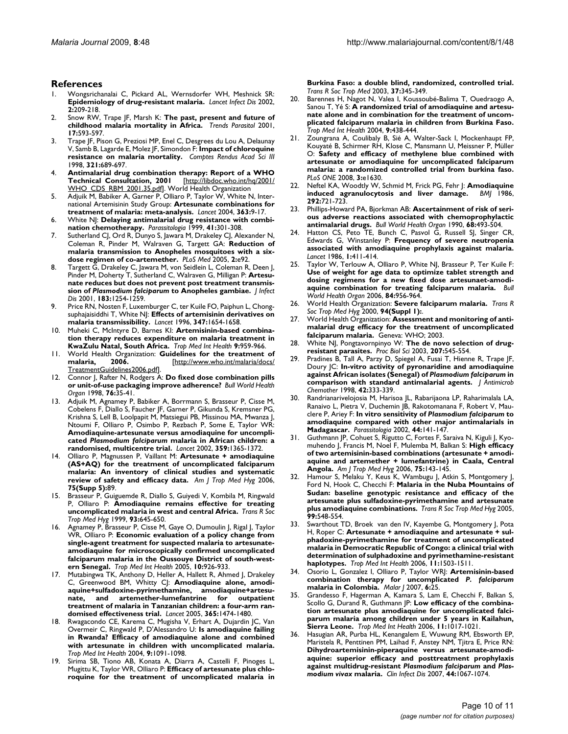#### **References**

- 1. Wongsrichanalai C, Pickard AL, Wernsdorfer WH, Meshnick SR: **[Epidemiology of drug-resistant malaria.](http://www.ncbi.nlm.nih.gov/entrez/query.fcgi?cmd=Retrieve&db=PubMed&dopt=Abstract&list_uids=11937421)** *Lancet Infect Dis* 2002, **2:**209-218.
- 2. Snow RW, Trape JF, Marsh K: **[The past, present and future of](http://www.ncbi.nlm.nih.gov/entrez/query.fcgi?cmd=Retrieve&db=PubMed&dopt=Abstract&list_uids=11756044) [childhood malaria mortality in Africa.](http://www.ncbi.nlm.nih.gov/entrez/query.fcgi?cmd=Retrieve&db=PubMed&dopt=Abstract&list_uids=11756044)** *Trends Parasitol* 2001, **17:**593-597.
- 3. Trape JF, Pison G, Preziosi MP, Enel C, Desgrees du Lou A, Delaunay V, Samb B, Lagarde E, Molez JF, Simondon F: **Impact of chloroquine resistance on malaria mortality.** *Comptes Rendus Acad Sci III* 1998, **321:**689-697.
- 4. **Antimalarial drug combination therapy: Report of a WHO Technical Consultation, 2001** [\[http://libdoc.who.int/hq/2001/](http://libdoc.who.int/hq/2001/WHO_CDS_RBM_2001.35.pdf) <u>[WHO\\_CDS\\_RBM\\_2001.35.pdf](http://libdoc.who.int/hq/2001/WHO_CDS_RBM_2001.35.pdf)]</u>. World Health Organization
- 5. Adjuik M, Babiker A, Garner P, Olliaro P, Taylor W, White N, International Artemisinin Study Group: **[Artesunate combinations for](http://www.ncbi.nlm.nih.gov/entrez/query.fcgi?cmd=Retrieve&db=PubMed&dopt=Abstract&list_uids=14723987) [treatment of malaria: meta-analysis.](http://www.ncbi.nlm.nih.gov/entrez/query.fcgi?cmd=Retrieve&db=PubMed&dopt=Abstract&list_uids=14723987)** *Lancet* 2004, **363:**9-17.
- 6. White NJ: **[Delaying antimalarial drug resistance with combi](http://www.ncbi.nlm.nih.gov/entrez/query.fcgi?cmd=Retrieve&db=PubMed&dopt=Abstract&list_uids=10697872 )[nation chemotherapy.](http://www.ncbi.nlm.nih.gov/entrez/query.fcgi?cmd=Retrieve&db=PubMed&dopt=Abstract&list_uids=10697872 )** *Parassitologia* 1999, **41:**301-308.
- 7. Sutherland CJ, Ord R, Dunyo S, Jawara M, Drakeley CJ, Alexander N, Coleman R, Pinder M, Walraven G, Targett GA: **[Reduction of](http://www.ncbi.nlm.nih.gov/entrez/query.fcgi?cmd=Retrieve&db=PubMed&dopt=Abstract&list_uids=15839740) [malaria transmission to Anopheles mosquitoes with a six](http://www.ncbi.nlm.nih.gov/entrez/query.fcgi?cmd=Retrieve&db=PubMed&dopt=Abstract&list_uids=15839740)[dose regimen of co-artemether.](http://www.ncbi.nlm.nih.gov/entrez/query.fcgi?cmd=Retrieve&db=PubMed&dopt=Abstract&list_uids=15839740)** *PLoS Med* 2005, **2:**e92.
- Targett G, Drakeley C, Jawara M, von Seidlein L, Coleman R, Deen J, Pinder M, Doherty T, Sutherland C, Walraven G, Milligan P: **Artesunate reduces but does not prevent post treatment transmission of** *Plasmodium falciparum* **[to Anopheles gambiae.](http://www.ncbi.nlm.nih.gov/entrez/query.fcgi?cmd=Retrieve&db=PubMed&dopt=Abstract&list_uids=11262208)** *J Infect Dis* 2001, **183:**1254-1259.
- Price RN, Nosten F, Luxemburger C, ter Kuile FO, Paiphun L, Chongsuphajaisiddhi T, White NJ: **[Effects of artemisinin derivatives on](http://www.ncbi.nlm.nih.gov/entrez/query.fcgi?cmd=Retrieve&db=PubMed&dopt=Abstract&list_uids=8642959) [malaria transmissibility.](http://www.ncbi.nlm.nih.gov/entrez/query.fcgi?cmd=Retrieve&db=PubMed&dopt=Abstract&list_uids=8642959)** *Lancet* 1996, **347:**1654-1658.
- 10. Muheki C, McIntyre D, Barnes KI: **[Artemisinin-based combina](http://www.ncbi.nlm.nih.gov/entrez/query.fcgi?cmd=Retrieve&db=PubMed&dopt=Abstract&list_uids=15361108)[tion therapy reduces expenditure on malaria treatment in](http://www.ncbi.nlm.nih.gov/entrez/query.fcgi?cmd=Retrieve&db=PubMed&dopt=Abstract&list_uids=15361108) [KwaZulu Natal, South Africa.](http://www.ncbi.nlm.nih.gov/entrez/query.fcgi?cmd=Retrieve&db=PubMed&dopt=Abstract&list_uids=15361108)** *Trop Med Int Health* **9:**959-966.
- 11. World Health Organization: **Guidelines for the treatment of malaria, 2006.** [\[http://www.who.int/malaria/docs/](http://www.who.int/malaria/docs/TreatmentGuidelines2006.pdf) [TreatmentGuidelines2006.pdf](http://www.who.int/malaria/docs/TreatmentGuidelines2006.pdf)].
- 12. Connor J, Rafter N, Rodgers A: **[Do fixed dose combination pills](http://www.ncbi.nlm.nih.gov/entrez/query.fcgi?cmd=Retrieve&db=PubMed&dopt=Abstract&list_uids=9763721) [or unit-of-use packaging improve adherence?](http://www.ncbi.nlm.nih.gov/entrez/query.fcgi?cmd=Retrieve&db=PubMed&dopt=Abstract&list_uids=9763721)** *Bull World Health Organ* 1998, **76:**35-41.
- 13. Adjuik M, Agnamey P, Babiker A, Borrmann S, Brasseur P, Cisse M, Cobelens F, Diallo S, Faucher JF, Garner P, Gikunda S, Kremsner PG, Krishna S, Lell B, Loolpapit M, Matsiegui PB, Missinou MA, Mwanza J, Ntoumi F, Olliaro P, Osimbo P, Rezbach P, Some E, Taylor WR: **Amodiaquine-artesunate versus amodiaquine for uncomplicated** *Plasmodium falciparum* **[malaria in African children: a](http://www.ncbi.nlm.nih.gov/entrez/query.fcgi?cmd=Retrieve&db=PubMed&dopt=Abstract&list_uids=11978332) [randomised, multicentre trial.](http://www.ncbi.nlm.nih.gov/entrez/query.fcgi?cmd=Retrieve&db=PubMed&dopt=Abstract&list_uids=11978332)** *Lancet* 2002, **359:**1365-1372.
- 14. Olliaro P, Magnussen P, Vaillant M: **Artesunate + amodiaquine (AS+AQ) for the treatment of uncomplicated falciparum malaria: An inventory of clinical studies and systematic review of safety and efficacy data.** *Am J Trop Med Hyg* 2006, **75(Supp 5):**89.
- 15. Brasseur P, Guiguemde R, Diallo S, Guiyedi V, Kombila M, Ringwald P, Olliaro P: **[Amodiaquine remains effective for treating](http://www.ncbi.nlm.nih.gov/entrez/query.fcgi?cmd=Retrieve&db=PubMed&dopt=Abstract&list_uids=10717757) [uncomplicated malaria in west and central Africa.](http://www.ncbi.nlm.nih.gov/entrez/query.fcgi?cmd=Retrieve&db=PubMed&dopt=Abstract&list_uids=10717757)** *Trans R Soc Trop Med Hyg* 1999, **93:**645-650.
- Agnamey P, Brasseur P, Cisse M, Gaye O, Dumoulin J, Rigal J, Taylor WR, Olliaro P: **[Economic evaluation of a policy change from](http://www.ncbi.nlm.nih.gov/entrez/query.fcgi?cmd=Retrieve&db=PubMed&dopt=Abstract&list_uids=16135201) [single-agent treatment for suspected malaria to artesunate](http://www.ncbi.nlm.nih.gov/entrez/query.fcgi?cmd=Retrieve&db=PubMed&dopt=Abstract&list_uids=16135201)amodiaquine for microscopically confirmed uncomplicated falciparum malaria in the Oussouye District of south-west[ern Senegal.](http://www.ncbi.nlm.nih.gov/entrez/query.fcgi?cmd=Retrieve&db=PubMed&dopt=Abstract&list_uids=16135201)** *Trop Med Int Health* 2005, **10:**926-933.
- 17. Mutabingwa TK, Anthony D, Heller A, Hallett R, Ahmed J, Drakeley C, Greenwood BM, Whitty CJ: **[Amodiaquine alone, amodi](http://www.ncbi.nlm.nih.gov/entrez/query.fcgi?cmd=Retrieve&db=PubMed&dopt=Abstract&list_uids=15850631)[aquine+sulfadoxine-pyrimethamine, amodiaquine+artesu](http://www.ncbi.nlm.nih.gov/entrez/query.fcgi?cmd=Retrieve&db=PubMed&dopt=Abstract&list_uids=15850631)nate, and artemether-lumefantrine for outpatient treatment of malaria in Tanzanian children: a four-arm ran[domised effectiveness trial.](http://www.ncbi.nlm.nih.gov/entrez/query.fcgi?cmd=Retrieve&db=PubMed&dopt=Abstract&list_uids=15850631)** *Lancet* 2005, **365:**1474-1480.
- 18. Rwagacondo CE, Karema C, Mugisha V, Erhart A, Dujardin JC, Van Overmeir C, Ringwald P, D'Alessandro U: **[Is amodiaquine failing](http://www.ncbi.nlm.nih.gov/entrez/query.fcgi?cmd=Retrieve&db=PubMed&dopt=Abstract&list_uids=15482401) [in Rwanda? Efficacy of amodiaquine alone and combined](http://www.ncbi.nlm.nih.gov/entrez/query.fcgi?cmd=Retrieve&db=PubMed&dopt=Abstract&list_uids=15482401) with artesunate in children with uncomplicated malaria.** *Trop Med Int Health* 2004, **9:**1091-1098.
- 19. Sirima SB, Tiono AB, Konata A, Diarra A, Castelli F, Pinoges L, Mugittu K, Taylor WR, Olliaro P: **Efficacy of artesunate plus chloroquine for the treatment of uncomplicated malaria in**

**Burkina Faso: a double blind, randomized, controlled trial.** *Trans R Soc Trop Med* 2003, **37:**345-349.

- 20. Barennes H, Nagot N, Valea I, Koussoubé-Balima T, Ouedraogo A, Sanou T, Yé S: **[A randomized trial of amodiaquine and artesu](http://www.ncbi.nlm.nih.gov/entrez/query.fcgi?cmd=Retrieve&db=PubMed&dopt=Abstract&list_uids=15078261)[nate alone and in combination for the treatment of uncom](http://www.ncbi.nlm.nih.gov/entrez/query.fcgi?cmd=Retrieve&db=PubMed&dopt=Abstract&list_uids=15078261)plicated falciparum malaria in children from Burkina Faso.** *Trop Med Int Health* 2004, **9:**438-444.
- 21. Zoungrana A, Coulibaly B, Sié A, Walter-Sack I, Mockenhaupt FP, Kouyaté B, Schirmer RH, Klose C, Mansmann U, Meissner P, Müller O: **[Safety and efficacy of methylene blue combined with](http://www.ncbi.nlm.nih.gov/entrez/query.fcgi?cmd=Retrieve&db=PubMed&dopt=Abstract&list_uids=18286187) [artesunate or amodiaquine for uncomplicated falciparum](http://www.ncbi.nlm.nih.gov/entrez/query.fcgi?cmd=Retrieve&db=PubMed&dopt=Abstract&list_uids=18286187) malaria: a randomized controlled trial from burkina faso.** *PLoS ONE* 2008, **3:**e1630.
- 22. Neftel KA, Woodtly W, Schmid M, Frick PG, Fehr J: **[Amodiaquine](http://www.ncbi.nlm.nih.gov/entrez/query.fcgi?cmd=Retrieve&db=PubMed&dopt=Abstract&list_uids=3082410) [induced agranulocytosis and liver damage.](http://www.ncbi.nlm.nih.gov/entrez/query.fcgi?cmd=Retrieve&db=PubMed&dopt=Abstract&list_uids=3082410)** *BMJ* 1986, **292:**721-723.
- 23. Phillips-Howard PA, Bjorkman AB: **[Ascertainment of risk of seri](http://www.ncbi.nlm.nih.gov/entrez/query.fcgi?cmd=Retrieve&db=PubMed&dopt=Abstract&list_uids=2208562)[ous adverse reactions associated with chemoprophylactic](http://www.ncbi.nlm.nih.gov/entrez/query.fcgi?cmd=Retrieve&db=PubMed&dopt=Abstract&list_uids=2208562) [antimalarial drugs.](http://www.ncbi.nlm.nih.gov/entrez/query.fcgi?cmd=Retrieve&db=PubMed&dopt=Abstract&list_uids=2208562)** *Bull World Health Organ* 1990, **68:**493-504.
- 24. Hatton CS, Peto TE, Bunch C, Pasvol G, Russell SJ, Singer CR, Edwards G, Winstanley P: **[Frequency of severe neutropenia](http://www.ncbi.nlm.nih.gov/entrez/query.fcgi?cmd=Retrieve&db=PubMed&dopt=Abstract&list_uids=2868340) [associated with amodiaquine prophylaxis against malaria.](http://www.ncbi.nlm.nih.gov/entrez/query.fcgi?cmd=Retrieve&db=PubMed&dopt=Abstract&list_uids=2868340)** *Lancet* 1986, **1:**411-414.
- 25. Taylor W, Terlouw A, Olliaro P, White NJ, Brasseur P, Ter Kuile F: **[Use of weight for age data to optimize tablet strength and](http://www.ncbi.nlm.nih.gov/entrez/query.fcgi?cmd=Retrieve&db=PubMed&dopt=Abstract&list_uids=17242831) dosing regimens for a new fixed dose artesunaet-amodi[aquine combination for treating falciparum malaria.](http://www.ncbi.nlm.nih.gov/entrez/query.fcgi?cmd=Retrieve&db=PubMed&dopt=Abstract&list_uids=17242831)** *Bull World Health Organ* 2006, **84:**956-964.
- 26. World Health Organization: **[Severe falciparum malaria.](http://www.ncbi.nlm.nih.gov/entrez/query.fcgi?cmd=Retrieve&db=PubMed&dopt=Abstract&list_uids=11103309)** *Trans R Soc Trop Med Hyg* 2000, **94(Suppl 1):**.
- 27. World Health Organization: **Assessment and monitoring of antimalarial drug efficacy for the treatment of uncomplicated falciparum malaria.** Geneva: WHO; 2003.
- 28. White NJ, Pongtavornpinyo W: **The de novo selection of drugresistant parasites.** *Proc Biol Sci* 2003, **207:**545-554.
- 29. Pradines B, Tall A, Parzy D, Spiegel A, Fusai T, Hienne R, Trape JF, Doury JC: **In-vitro activity of pyronaridine and amodiaquine against African isolates (Senegal) of** *Plasmodium falciparum* **[in](http://www.ncbi.nlm.nih.gov/entrez/query.fcgi?cmd=Retrieve&db=PubMed&dopt=Abstract&list_uids=9786473) [comparison with standard antimalarial agents.](http://www.ncbi.nlm.nih.gov/entrez/query.fcgi?cmd=Retrieve&db=PubMed&dopt=Abstract&list_uids=9786473)** *J Antimicrob Chemother* 1998, **42:**333-339.
- <span id="page-9-0"></span>Randrianarivelojosia M, Harisoa JL, Rabarijaona LP, Raharimalala LA, Ranaivo L, Pietra V, Duchemin JB, Rakotomanana F, Robert V, Mauclere P, Ariey F: **In vitro sensitivity of** *Plasmodium falciparum* **[to](http://www.ncbi.nlm.nih.gov/entrez/query.fcgi?cmd=Retrieve&db=PubMed&dopt=Abstract&list_uids=12701375) [amodiaquine compared with other major antimalarials in](http://www.ncbi.nlm.nih.gov/entrez/query.fcgi?cmd=Retrieve&db=PubMed&dopt=Abstract&list_uids=12701375) [Madagascar.](http://www.ncbi.nlm.nih.gov/entrez/query.fcgi?cmd=Retrieve&db=PubMed&dopt=Abstract&list_uids=12701375)** *Parassitologia* 2002, **44:**141-147.
- 31. Guthmann JP, Cohuet S, Rigutto C, Fortes F, Saraiva N, Kiguli J, Kyomuhendo J, Francis M, Noel F, Mulemba M, Balkan S: **[High efficacy](http://www.ncbi.nlm.nih.gov/entrez/query.fcgi?cmd=Retrieve&db=PubMed&dopt=Abstract&list_uids=16837721) [of two artemisinin-based combinations \(artesunate + amodi](http://www.ncbi.nlm.nih.gov/entrez/query.fcgi?cmd=Retrieve&db=PubMed&dopt=Abstract&list_uids=16837721)aquine and artemether + lumefantrine) in Caala, Central [Angola.](http://www.ncbi.nlm.nih.gov/entrez/query.fcgi?cmd=Retrieve&db=PubMed&dopt=Abstract&list_uids=16837721)** *Am J Trop Med Hyg* 2006, **75:**143-145.
- 32. Hamour S, Melaku Y, Keus K, Wambugu J, Atkin S, Montgomery J, Ford N, Hook C, Checchi F: **[Malaria in the Nuba Mountains of](http://www.ncbi.nlm.nih.gov/entrez/query.fcgi?cmd=Retrieve&db=PubMed&dopt=Abstract&list_uids=15869770) [Sudan: baseline genotypic resistance and efficacy of the](http://www.ncbi.nlm.nih.gov/entrez/query.fcgi?cmd=Retrieve&db=PubMed&dopt=Abstract&list_uids=15869770) artesunate plus sulfadoxine-pyrimethamine and artesunate [plus amodiaquine combinations.](http://www.ncbi.nlm.nih.gov/entrez/query.fcgi?cmd=Retrieve&db=PubMed&dopt=Abstract&list_uids=15869770)** *Trans R Soc Trop Med Hyg* 2005, **99:**548-554.
- Swarthout TD, Broek van den IV, Kayembe G, Montgomery J, Pota H, Roper C: **[Artesunate + amodiaquine and artesunate + sul](http://www.ncbi.nlm.nih.gov/entrez/query.fcgi?cmd=Retrieve&db=PubMed&dopt=Abstract&list_uids=17002724)[phadoxine-pyrimethamine for treatment of uncomplicated](http://www.ncbi.nlm.nih.gov/entrez/query.fcgi?cmd=Retrieve&db=PubMed&dopt=Abstract&list_uids=17002724) malaria in Democratic Republic of Congo: a clinical trial with determination of sulphadoxine and pyrimethamine-resistant [haplotypes.](http://www.ncbi.nlm.nih.gov/entrez/query.fcgi?cmd=Retrieve&db=PubMed&dopt=Abstract&list_uids=17002724)** *Trop Med Int Health* 2006, **11:**1503-1511.
- 34. Osorio L, Gonzalez I, Olliaro P, Taylor WRJ: **Artemisinin-based combination therapy for uncomplicated** *P. falciparum* **[malaria in Colombia.](http://www.ncbi.nlm.nih.gov/entrez/query.fcgi?cmd=Retrieve&db=PubMed&dopt=Abstract&list_uids=17328806)** *Malar J* 2007, **6:**25.
- 35. Grandesso F, Hagerman A, Kamara S, Lam E, Checchi F, Balkan S, Scollo G, Durand R, Guthmann JP: **[Low efficacy of the combina](http://www.ncbi.nlm.nih.gov/entrez/query.fcgi?cmd=Retrieve&db=PubMed&dopt=Abstract&list_uids=16827702)[tion artesunate plus amodiaquine for uncomplicated falci](http://www.ncbi.nlm.nih.gov/entrez/query.fcgi?cmd=Retrieve&db=PubMed&dopt=Abstract&list_uids=16827702)parum malaria among children under 5 years in Kailahun, [Sierra Leone.](http://www.ncbi.nlm.nih.gov/entrez/query.fcgi?cmd=Retrieve&db=PubMed&dopt=Abstract&list_uids=16827702)** *Trop Med Int Health* 2006, **11:**1017-1021.
- 36. Hasugian AR, Purba HL, Kenangalem E, Wuwung RM, Ebsworth EP, Maristela R, Penttinen PM, Laihad F, Anstey NM, Tjitra E, Price RN: **Dihydroartemisinin-piperaquine versus artesunate-amodiaquine: superior efficacy and posttreatment prophylaxis against multidrug-resistant** *Plasmodium falciparum* **and** *Plasmodium vivax* **[malaria.](http://www.ncbi.nlm.nih.gov/entrez/query.fcgi?cmd=Retrieve&db=PubMed&dopt=Abstract&list_uids=17366451)** *Clin Infect Dis* 2007, **44:**1067-1074.